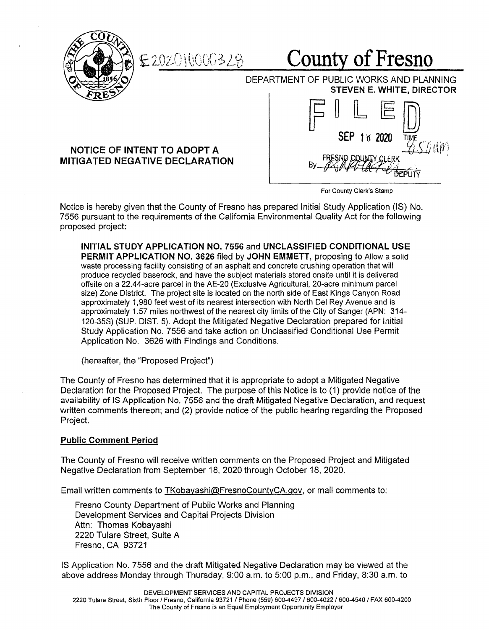

County of Fresno

DEPARTMENT OF PUBLIC WORKS AND PLANNING **STEVEN E. WHITE, DIRECTOR** 

## **NOTICE OF INTENT TO ADOPT A MITIGATED NEGATIVE DECLARATION**



 $F \mathbb{I} \mathbb{L} \mathbb{E} \mathbb{D}$ 

For County Clerk's Stamp

Notice is hereby given that the County of Fresno has prepared Initial Study Application (IS) No. 7556 pursuant to the requirements of the California Environmental Quality Act for the following proposed project:

**INITIAL STUDY APPLICATION NO. 7556** and **UNCLASSIFIED CONDITIONAL USE PERMIT APPLICATION NO. 3626** filed by **JOHN EMMETT,** proposing to Allow a solid waste processing facility consisting of an asphalt and concrete crushing operation that will produce recycled baserock, and have the subject materials stored onsite until it is delivered offsite on a 22.44-acre parcel in the AE-20 (Exclusive Agricultural, 20-acre minimum parcel size) Zone District. The project site is located on the north side of East Kings Canyon Road approximately 1,980 feet west of its nearest intersection with North Del Rey Avenue and is approximately 1.57 miles northwest of the nearest city limits of the City of Sanger (APN: 314- 120-35S) (SUP. DIST. 5). Adopt the Mitigated Negative Declaration prepared for Initial Study Application No. 7556 and take action on Unclassified Conditional Use Permit Application No. 3626 with Findings and Conditions.

(hereafter, the "Proposed Project")

The County of Fresno has determined that it is appropriate to adopt a Mitigated Negative Declaration for the Proposed Project. The purpose of this Notice is to (1) provide notice of the availability of IS Application No. 7556 and the draft Mitigated Negative Declaration, and request written comments thereon; and (2) provide notice of the public hearing regarding the Proposed Project.

## **Public Comment Period**

The County of Fresno will receive written comments on the Proposed Project and Mitigated Negative Declaration from September 18, 2020 through October 18, 2020.

Email written comments to TKobayashi@FresnoCountyCA.gov, or mail comments to:

Fresno County Department of Public Works and Planning Development Services and Capital Projects Division Attn: Thomas Kobayashi 2220 Tulare Street, Suite A Fresno, CA 93721

IS Application No. 7556 and the draft Mitigated Negative Declaration may be viewed at the above address Monday through Thursday, 9:00 a.m. to 5:00 p.m., and Friday, 8:30 a.m. to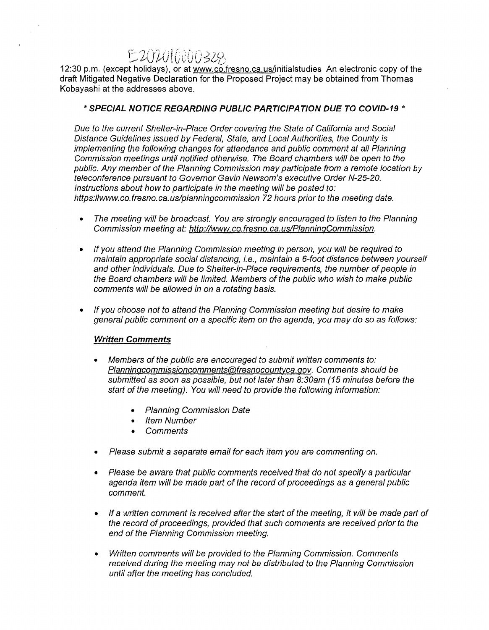# E 202016000328

12:30 p.m. (except holidays), or at www.co.fresno.ca.us/initialstudies An electronic copy of the draft Mitigated Negative Declaration for the Proposed Project may be obtained from Thomas Kobayashi at the addresses above.

### \* **SPECIAL NOTICE REGARDING PUBLIC PARTICIPATION DUE TO COVID-19** \*

Due to the current Shelter-in-Place Order covering the State of California and Social Distance Guidelines issued by Federal, State, and Local Authorities, the County is implementing the following changes for attendance and public comment at all Planning Commission meetings until notified otherwise. The Board chambers will be open to the public. Any member of the Planning Commission may participate from a remote location by teleconference pursuant to Governor Gavin Newsom's executive Order N-25-20. Instructions about how *to* participate in the meeting will be posted to: https://www.co.fresno.ca.us/planningcommission 72 hours prior to the meeting date.

- The meeting will be broadcast. You are strongly encouraged to listen to the Planning Commission meeting at: http://www.co.fresno.ca.us/PlanningCommission.
- If you attend the Planning Commission meeting in person, you will be required to maintain appropriate social distancing, i.e., maintain a 6-foot distance between yourself and other individuals. Due to Shelter-in-Place requirements, the number of people in the Board chambers will be limited. Members of the public who wish to make public comments will be allowed in on a rotating basis.
- If you choose not to attend the Planning Commission meeting but desire *to* make general public comment on a specific item on the agenda, you may do so as follows:

### **Written Comments**

- Members of the public are encouraged to submit written comments to: Planningcommissioncomments@fresnocountyca.gov. Comments should be submitted as soon as possible, but not later than 8:30am (15 minutes before the start of the meeting). You will need to provide the following information:
	- Planning Commission Date
	- Item Number
	- Comments
- Please submit a separate email for each item you are commenting on.
- Please be aware that public comments received that do not specify a particular agenda item will be made part of the record of proceedings as a general public comment.
- If a written comment is received after the start of the meeting, it will be made part of the record of proceedings, provided that such comments are received prior to the end of the Planning Commission meeting.
- Written comments will be provided to the Planning Commission. Comments received during the meeting may not be distributed to the Planning Commission until after the meeting has concluded.